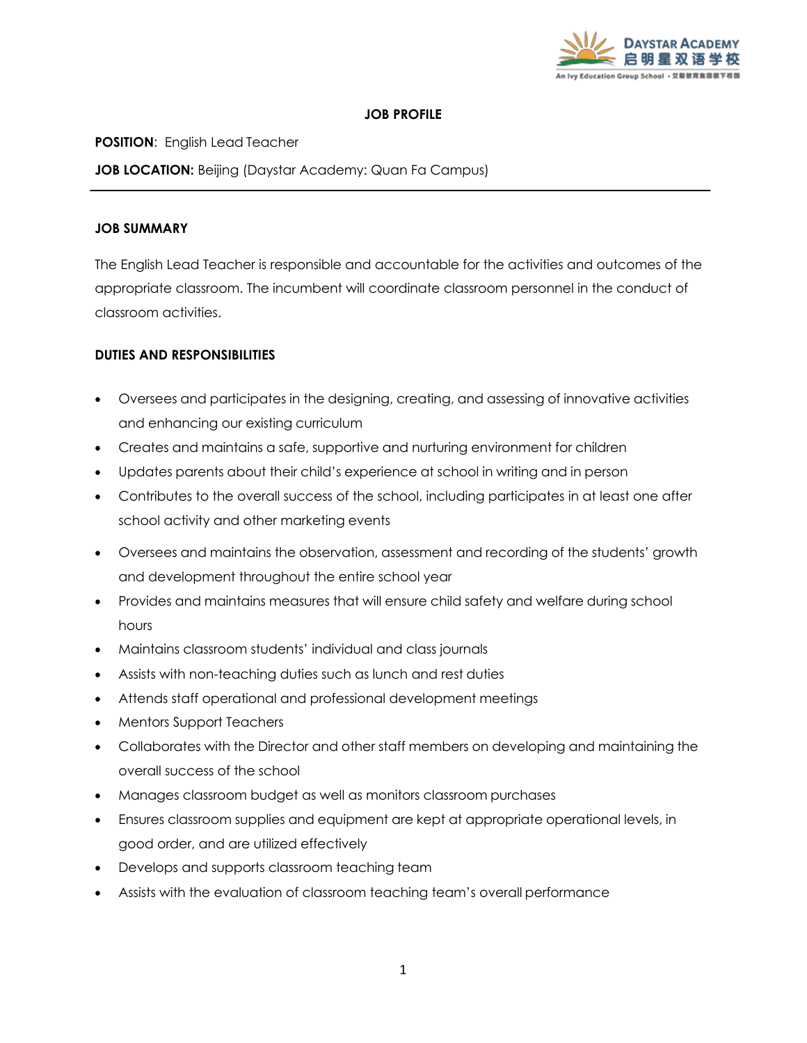

## **JOB PROFILE**

**POSITION**: English Lead Teacher

**JOB LOCATION:** Beijing (Daystar Academy: Quan Fa Campus)

# **JOB SUMMARY**

The English Lead Teacher is responsible and accountable for the activities and outcomes of the appropriate classroom. The incumbent will coordinate classroom personnel in the conduct of classroom activities.

# **DUTIES AND RESPONSIBILITIES**

- Oversees and participates in the designing, creating, and assessing of innovative activities and enhancing our existing curriculum
- Creates and maintains a safe, supportive and nurturing environment for children
- Updates parents about their child's experience at school in writing and in person
- Contributes to the overall success of the school, including participates in at least one after school activity and other marketing events
- Oversees and maintains the observation, assessment and recording of the students' growth and development throughout the entire school year
- Provides and maintains measures that will ensure child safety and welfare during school hours
- Maintains classroom students' individual and class journals
- Assists with non-teaching duties such as lunch and rest duties
- Attends staff operational and professional development meetings
- Mentors Support Teachers
- Collaborates with the Director and other staff members on developing and maintaining the overall success of the school
- Manages classroom budget as well as monitors classroom purchases
- Ensures classroom supplies and equipment are kept at appropriate operational levels, in good order, and are utilized effectively
- Develops and supports classroom teaching team
- Assists with the evaluation of classroom teaching team's overall performance